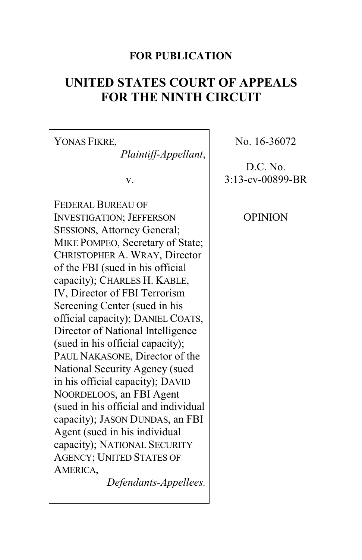## **FOR PUBLICATION**

# **UNITED STATES COURT OF APPEALS FOR THE NINTH CIRCUIT**

YONAS FIKRE, *Plaintiff-Appellant*,

v.

FEDERAL BUREAU OF INVESTIGATION; JEFFERSON SESSIONS, Attorney General; MIKE POMPEO, Secretary of State; CHRISTOPHER A. WRAY, Director of the FBI (sued in his official capacity); CHARLES H. KABLE, IV, Director of FBI Terrorism Screening Center (sued in his official capacity); DANIEL COATS, Director of National Intelligence (sued in his official capacity); PAUL NAKASONE, Director of the National Security Agency (sued in his official capacity); DAVID NOORDELOOS, an FBI Agent (sued in his official and individual capacity); JASON DUNDAS, an FBI Agent (sued in his individual capacity); NATIONAL SECURITY AGENCY; UNITED STATES OF AMERICA,

*Defendants-Appellees.*

No. 16-36072

D.C. No. 3:13-cv-00899-BR

**OPINION**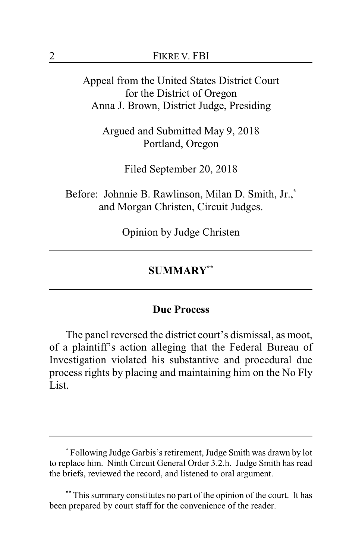Appeal from the United States District Court for the District of Oregon Anna J. Brown, District Judge, Presiding

Argued and Submitted May 9, 2018 Portland, Oregon

Filed September 20, 2018

Before: Johnnie B. Rawlinson, Milan D. Smith, Jr.,**\*** and Morgan Christen, Circuit Judges.

Opinion by Judge Christen

### **SUMMARY\*\***

### **Due Process**

The panel reversed the district court's dismissal, as moot, of a plaintiff's action alleging that the Federal Bureau of Investigation violated his substantive and procedural due process rights by placing and maintaining him on the No Fly List.

**<sup>\*</sup>** Following Judge Garbis's retirement, Judge Smith was drawn by lot to replace him. Ninth Circuit General Order 3.2.h. Judge Smith has read the briefs, reviewed the record, and listened to oral argument.

This summary constitutes no part of the opinion of the court. It has been prepared by court staff for the convenience of the reader.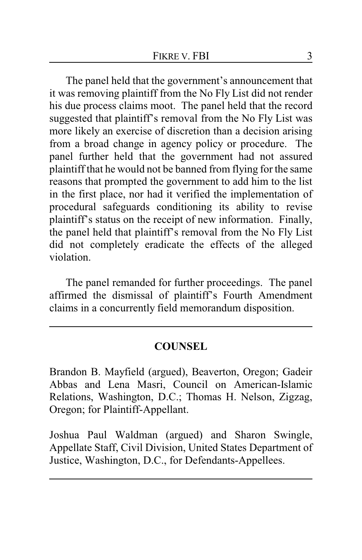The panel held that the government's announcement that it was removing plaintiff from the No Fly List did not render his due process claims moot. The panel held that the record suggested that plaintiff's removal from the No Fly List was more likely an exercise of discretion than a decision arising from a broad change in agency policy or procedure. The panel further held that the government had not assured plaintiff that he would not be banned from flying for the same reasons that prompted the government to add him to the list in the first place, nor had it verified the implementation of procedural safeguards conditioning its ability to revise plaintiff's status on the receipt of new information. Finally, the panel held that plaintiff's removal from the No Fly List did not completely eradicate the effects of the alleged violation.

The panel remanded for further proceedings. The panel affirmed the dismissal of plaintiff's Fourth Amendment claims in a concurrently field memorandum disposition.

#### **COUNSEL**

Brandon B. Mayfield (argued), Beaverton, Oregon; Gadeir Abbas and Lena Masri, Council on American-Islamic Relations, Washington, D.C.; Thomas H. Nelson, Zigzag, Oregon; for Plaintiff-Appellant.

Joshua Paul Waldman (argued) and Sharon Swingle, Appellate Staff, Civil Division, United States Department of Justice, Washington, D.C., for Defendants-Appellees.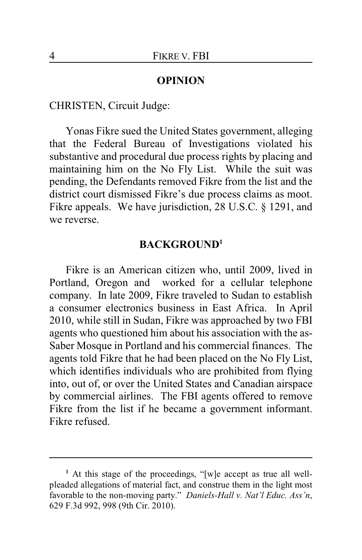#### **OPINION**

CHRISTEN, Circuit Judge:

Yonas Fikre sued the United States government, alleging that the Federal Bureau of Investigations violated his substantive and procedural due process rights by placing and maintaining him on the No Fly List. While the suit was pending, the Defendants removed Fikre from the list and the district court dismissed Fikre's due process claims as moot. Fikre appeals. We have jurisdiction, 28 U.S.C. § 1291, and we reverse.

#### **BACKGROUND<sup>1</sup>**

Fikre is an American citizen who, until 2009, lived in Portland, Oregon and worked for a cellular telephone company. In late 2009, Fikre traveled to Sudan to establish a consumer electronics business in East Africa. In April 2010, while still in Sudan, Fikre was approached by two FBI agents who questioned him about his association with the as-Saber Mosque in Portland and his commercial finances. The agents told Fikre that he had been placed on the No Fly List, which identifies individuals who are prohibited from flying into, out of, or over the United States and Canadian airspace by commercial airlines. The FBI agents offered to remove Fikre from the list if he became a government informant. Fikre refused.

**<sup>1</sup>** At this stage of the proceedings, "[w]e accept as true all wellpleaded allegations of material fact, and construe them in the light most favorable to the non-moving party." *Daniels-Hall v. Nat'l Educ. Ass'n*, 629 F.3d 992, 998 (9th Cir. 2010).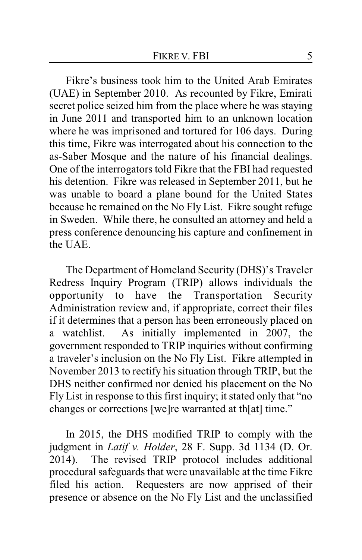Fikre's business took him to the United Arab Emirates (UAE) in September 2010. As recounted by Fikre, Emirati secret police seized him from the place where he was staying in June 2011 and transported him to an unknown location where he was imprisoned and tortured for 106 days. During this time, Fikre was interrogated about his connection to the as-Saber Mosque and the nature of his financial dealings. One of the interrogators told Fikre that the FBI had requested his detention. Fikre was released in September 2011, but he was unable to board a plane bound for the United States because he remained on the No Fly List. Fikre sought refuge in Sweden. While there, he consulted an attorney and held a press conference denouncing his capture and confinement in the UAE.

The Department of Homeland Security (DHS)'s Traveler Redress Inquiry Program (TRIP) allows individuals the opportunity to have the Transportation Security Administration review and, if appropriate, correct their files if it determines that a person has been erroneously placed on a watchlist. As initially implemented in 2007, the government responded to TRIP inquiries without confirming a traveler's inclusion on the No Fly List. Fikre attempted in November 2013 to rectify his situation through TRIP, but the DHS neither confirmed nor denied his placement on the No Fly List in response to this first inquiry; it stated only that "no changes or corrections [we]re warranted at th[at] time."

In 2015, the DHS modified TRIP to comply with the judgment in *Latif v. Holder*, 28 F. Supp. 3d 1134 (D. Or. 2014). The revised TRIP protocol includes additional procedural safeguards that were unavailable at the time Fikre filed his action. Requesters are now apprised of their presence or absence on the No Fly List and the unclassified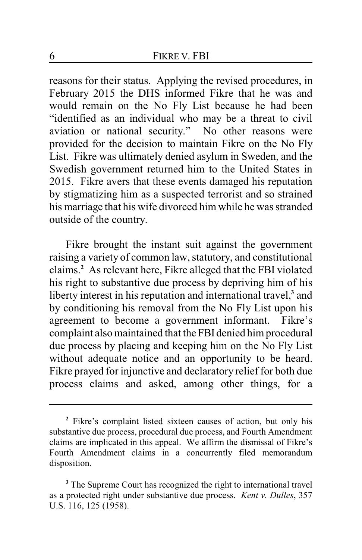reasons for their status. Applying the revised procedures, in February 2015 the DHS informed Fikre that he was and would remain on the No Fly List because he had been "identified as an individual who may be a threat to civil aviation or national security." No other reasons were provided for the decision to maintain Fikre on the No Fly List. Fikre was ultimately denied asylum in Sweden, and the Swedish government returned him to the United States in 2015. Fikre avers that these events damaged his reputation by stigmatizing him as a suspected terrorist and so strained his marriage that his wife divorced him while he was stranded outside of the country.

Fikre brought the instant suit against the government raising a variety of common law, statutory, and constitutional claims.**<sup>2</sup>** As relevant here, Fikre alleged that the FBI violated his right to substantive due process by depriving him of his liberty interest in his reputation and international travel,**<sup>3</sup>** and by conditioning his removal from the No Fly List upon his agreement to become a government informant. Fikre's complaint also maintained that the FBI denied him procedural due process by placing and keeping him on the No Fly List without adequate notice and an opportunity to be heard. Fikre prayed for injunctive and declaratory relief for both due process claims and asked, among other things, for a

**<sup>2</sup>** Fikre's complaint listed sixteen causes of action, but only his substantive due process, procedural due process, and Fourth Amendment claims are implicated in this appeal. We affirm the dismissal of Fikre's Fourth Amendment claims in a concurrently filed memorandum disposition.

<sup>&</sup>lt;sup>3</sup> The Supreme Court has recognized the right to international travel as a protected right under substantive due process. *Kent v. Dulles*, 357 U.S. 116, 125 (1958).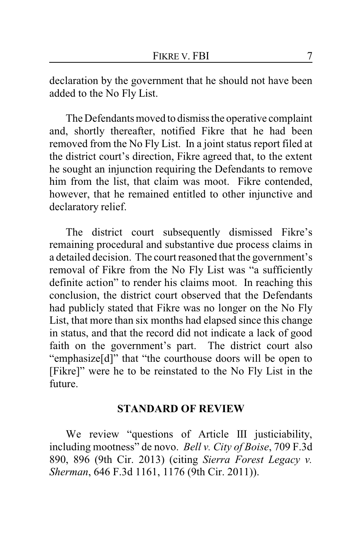declaration by the government that he should not have been added to the No Fly List.

The Defendants moved to dismiss the operative complaint and, shortly thereafter, notified Fikre that he had been removed from the No Fly List. In a joint status report filed at the district court's direction, Fikre agreed that, to the extent he sought an injunction requiring the Defendants to remove him from the list, that claim was moot. Fikre contended, however, that he remained entitled to other injunctive and declaratory relief.

The district court subsequently dismissed Fikre's remaining procedural and substantive due process claims in a detailed decision. The court reasoned that the government's removal of Fikre from the No Fly List was "a sufficiently definite action" to render his claims moot. In reaching this conclusion, the district court observed that the Defendants had publicly stated that Fikre was no longer on the No Fly List, that more than six months had elapsed since this change in status, and that the record did not indicate a lack of good faith on the government's part. The district court also "emphasize[d]" that "the courthouse doors will be open to [Fikre]" were he to be reinstated to the No Fly List in the future.

#### **STANDARD OF REVIEW**

We review "questions of Article III justiciability, including mootness" de novo. *Bell v. City of Boise*, 709 F.3d 890, 896 (9th Cir. 2013) (citing *Sierra Forest Legacy v. Sherman*, 646 F.3d 1161, 1176 (9th Cir. 2011)).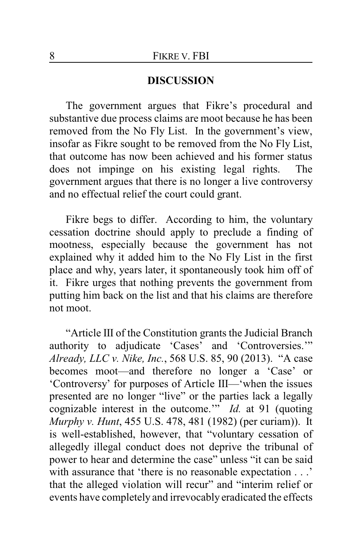#### **DISCUSSION**

The government argues that Fikre's procedural and substantive due process claims are moot because he has been removed from the No Fly List. In the government's view, insofar as Fikre sought to be removed from the No Fly List, that outcome has now been achieved and his former status does not impinge on his existing legal rights. The government argues that there is no longer a live controversy and no effectual relief the court could grant.

Fikre begs to differ. According to him, the voluntary cessation doctrine should apply to preclude a finding of mootness, especially because the government has not explained why it added him to the No Fly List in the first place and why, years later, it spontaneously took him off of it. Fikre urges that nothing prevents the government from putting him back on the list and that his claims are therefore not moot.

"Article III of the Constitution grants the Judicial Branch authority to adjudicate 'Cases' and 'Controversies.'" *Already, LLC v. Nike, Inc.*, 568 U.S. 85, 90 (2013). "A case becomes moot—and therefore no longer a 'Case' or 'Controversy' for purposes of Article III—'when the issues presented are no longer "live" or the parties lack a legally cognizable interest in the outcome.'" *Id.* at 91 (quoting *Murphy v. Hunt*, 455 U.S. 478, 481 (1982) (per curiam)). It is well-established, however, that "voluntary cessation of allegedly illegal conduct does not deprive the tribunal of power to hear and determine the case" unless "it can be said with assurance that 'there is no reasonable expectation . . .' that the alleged violation will recur" and "interim relief or events have completely and irrevocably eradicated the effects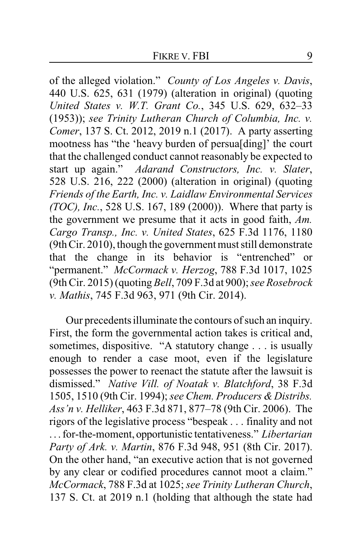of the alleged violation." *County of Los Angeles v. Davis*, 440 U.S. 625, 631 (1979) (alteration in original) (quoting *United States v. W.T. Grant Co.*, 345 U.S. 629, 632–33 (1953)); *see Trinity Lutheran Church of Columbia, Inc. v. Comer*, 137 S. Ct. 2012, 2019 n.1 (2017). A party asserting mootness has "the 'heavy burden of persua[ding]' the court that the challenged conduct cannot reasonably be expected to start up again." *Adarand Constructors, Inc. v. Slater*, 528 U.S. 216, 222 (2000) (alteration in original) (quoting *Friends of the Earth, Inc. v. Laidlaw Environmental Services (TOC), Inc.*, 528 U.S. 167, 189 (2000)). Where that party is the government we presume that it acts in good faith, *Am. Cargo Transp., Inc. v. United States*, 625 F.3d 1176, 1180 (9th Cir. 2010), though the government must still demonstrate that the change in its behavior is "entrenched" or "permanent." *McCormack v. Herzog*, 788 F.3d 1017, 1025 (9th Cir. 2015) (quoting *Bell*, 709 F.3d at 900); *see Rosebrock v. Mathis*, 745 F.3d 963, 971 (9th Cir. 2014).

Our precedents illuminate the contours of such an inquiry. First, the form the governmental action takes is critical and, sometimes, dispositive. "A statutory change . . . is usually enough to render a case moot, even if the legislature possesses the power to reenact the statute after the lawsuit is dismissed." *Native Vill. of Noatak v. Blatchford*, 38 F.3d 1505, 1510 (9th Cir. 1994); *see Chem. Producers & Distribs. Ass'n v. Helliker*, 463 F.3d 871, 877–78 (9th Cir. 2006). The rigors of the legislative process "bespeak . . . finality and not . . . for-the-moment, opportunistic tentativeness." *Libertarian Party of Ark. v. Martin*, 876 F.3d 948, 951 (8th Cir. 2017). On the other hand, "an executive action that is not governed by any clear or codified procedures cannot moot a claim." *McCormack*, 788 F.3d at 1025; *see Trinity Lutheran Church*, 137 S. Ct. at 2019 n.1 (holding that although the state had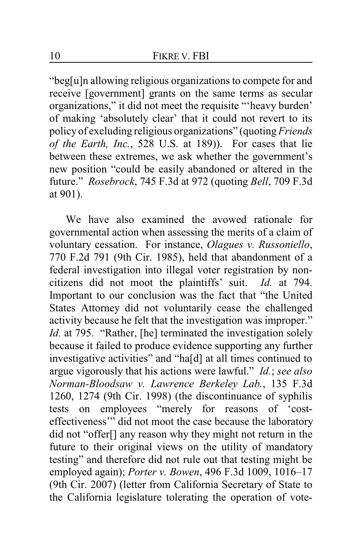"beg[u]n allowing religious organizations to compete for and receive [government] grants on the same terms as secular organizations," it did not meet the requisite "'heavy burden' of making 'absolutely clear' that it could not revert to its policy of excluding religious organizations" (quoting*Friends of the Earth, Inc.*, 528 U.S. at 189)). For cases that lie between these extremes, we ask whether the government's new position "could be easily abandoned or altered in the future." *Rosebrock*, 745 F.3d at 972 (quoting *Bell*, 709 F.3d at 901).

We have also examined the avowed rationale for governmental action when assessing the merits of a claim of voluntary cessation. For instance, *Olagues v. Russoniello*, 770 F.2d 791 (9th Cir. 1985), held that abandonment of a federal investigation into illegal voter registration by noncitizens did not moot the plaintiffs' suit. *Id.* at 794. Important to our conclusion was the fact that "the United States Attorney did not voluntarily cease the challenged activity because he felt that the investigation was improper." *Id.* at 795. "Rather, [he] terminated the investigation solely because it failed to produce evidence supporting any further investigative activities" and "ha[d] at all times continued to argue vigorously that his actions were lawful." *Id.*; *see also Norman-Bloodsaw v. Lawrence Berkeley Lab.*, 135 F.3d 1260, 1274 (9th Cir. 1998) (the discontinuance of syphilis tests on employees "merely for reasons of 'costeffectiveness'" did not moot the case because the laboratory did not "offer[] any reason why they might not return in the future to their original views on the utility of mandatory testing" and therefore did not rule out that testing might be employed again); *Porter v. Bowen*, 496 F.3d 1009, 1016–17 (9th Cir. 2007) (letter from California Secretary of State to the California legislature tolerating the operation of vote-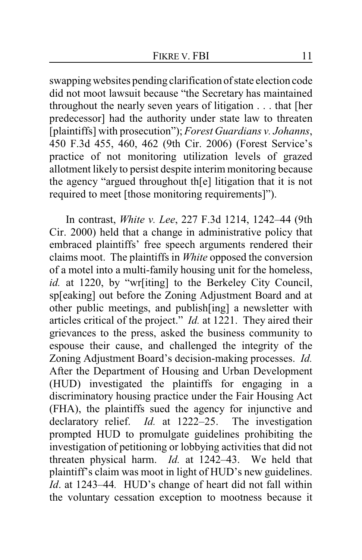swapping websites pending clarification of state election code did not moot lawsuit because "the Secretary has maintained throughout the nearly seven years of litigation . . . that [her predecessor] had the authority under state law to threaten [plaintiffs] with prosecution"); *Forest Guardians v. Johanns*, 450 F.3d 455, 460, 462 (9th Cir. 2006) (Forest Service's practice of not monitoring utilization levels of grazed allotment likely to persist despite interim monitoring because the agency "argued throughout th[e] litigation that it is not required to meet [those monitoring requirements]").

In contrast, *White v. Lee*, 227 F.3d 1214, 1242–44 (9th Cir. 2000) held that a change in administrative policy that embraced plaintiffs' free speech arguments rendered their claims moot. The plaintiffs in *White* opposed the conversion of a motel into a multi-family housing unit for the homeless, *id.* at 1220, by "wr[iting] to the Berkeley City Council, sp[eaking] out before the Zoning Adjustment Board and at other public meetings, and publish[ing] a newsletter with articles critical of the project." *Id.* at 1221. They aired their grievances to the press, asked the business community to espouse their cause, and challenged the integrity of the Zoning Adjustment Board's decision-making processes. *Id.*  After the Department of Housing and Urban Development (HUD) investigated the plaintiffs for engaging in a discriminatory housing practice under the Fair Housing Act (FHA), the plaintiffs sued the agency for injunctive and declaratory relief. *Id.* at 1222–25. The investigation prompted HUD to promulgate guidelines prohibiting the investigation of petitioning or lobbying activities that did not threaten physical harm. *Id.* at 1242–43. We held that plaintiff's claim was moot in light of HUD's new guidelines. *Id*. at 1243–44*.* HUD's change of heart did not fall within the voluntary cessation exception to mootness because it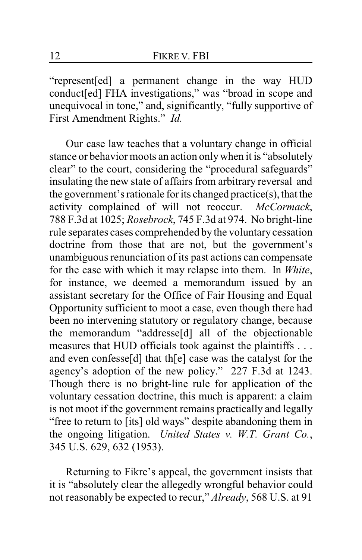"represent[ed] a permanent change in the way HUD conduct[ed] FHA investigations," was "broad in scope and unequivocal in tone," and, significantly, "fully supportive of First Amendment Rights." *Id.*

Our case law teaches that a voluntary change in official stance or behavior moots an action onlywhen it is "absolutely clear" to the court, considering the "procedural safeguards" insulating the new state of affairs from arbitrary reversal and the government's rationale for its changed practice(s), that the activity complained of will not reoccur. *McCormack*, 788 F.3d at 1025; *Rosebrock*, 745 F.3d at 974. No bright-line rule separates cases comprehended by the voluntary cessation doctrine from those that are not, but the government's unambiguous renunciation of its past actions can compensate for the ease with which it may relapse into them. In *White*, for instance, we deemed a memorandum issued by an assistant secretary for the Office of Fair Housing and Equal Opportunity sufficient to moot a case, even though there had been no intervening statutory or regulatory change, because the memorandum "addresse[d] all of the objectionable measures that HUD officials took against the plaintiffs . . . and even confesse[d] that th[e] case was the catalyst for the agency's adoption of the new policy." 227 F.3d at 1243. Though there is no bright-line rule for application of the voluntary cessation doctrine, this much is apparent: a claim is not moot if the government remains practically and legally "free to return to [its] old ways" despite abandoning them in the ongoing litigation. *United States v. W.T. Grant Co.*, 345 U.S. 629, 632 (1953).

Returning to Fikre's appeal, the government insists that it is "absolutely clear the allegedly wrongful behavior could not reasonably be expected to recur," *Already*, 568 U.S. at 91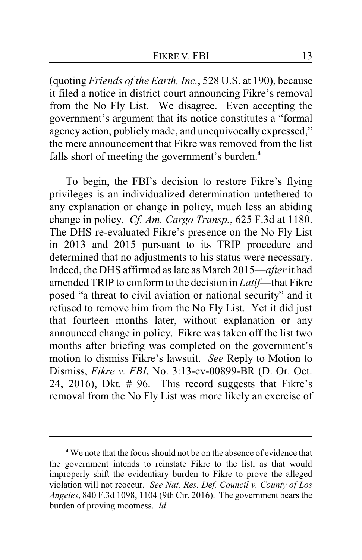(quoting *Friends of the Earth, Inc.*, 528 U.S. at 190), because it filed a notice in district court announcing Fikre's removal from the No Fly List. We disagree. Even accepting the government's argument that its notice constitutes a "formal agency action, publicly made, and unequivocally expressed," the mere announcement that Fikre was removed from the list falls short of meeting the government's burden.**<sup>4</sup>**

To begin, the FBI's decision to restore Fikre's flying privileges is an individualized determination untethered to any explanation or change in policy, much less an abiding change in policy. *Cf. Am. Cargo Transp.*, 625 F.3d at 1180. The DHS re-evaluated Fikre's presence on the No Fly List in 2013 and 2015 pursuant to its TRIP procedure and determined that no adjustments to his status were necessary. Indeed, the DHS affirmed as late as March 2015—*after*it had amended TRIP to conform to the decision in *Latif*—that Fikre posed "a threat to civil aviation or national security" and it refused to remove him from the No Fly List. Yet it did just that fourteen months later, without explanation or any announced change in policy. Fikre was taken off the list two months after briefing was completed on the government's motion to dismiss Fikre's lawsuit. *See* Reply to Motion to Dismiss, *Fikre v. FBI*, No. 3:13-cv-00899-BR (D. Or. Oct. 24, 2016), Dkt. # 96. This record suggests that Fikre's removal from the No Fly List was more likely an exercise of

**<sup>4</sup>** We note that the focus should not be on the absence of evidence that the government intends to reinstate Fikre to the list, as that would improperly shift the evidentiary burden to Fikre to prove the alleged violation will not reoccur. *See Nat. Res. Def. Council v. County of Los Angeles*, 840 F.3d 1098, 1104 (9th Cir. 2016). The government bears the burden of proving mootness. *Id.*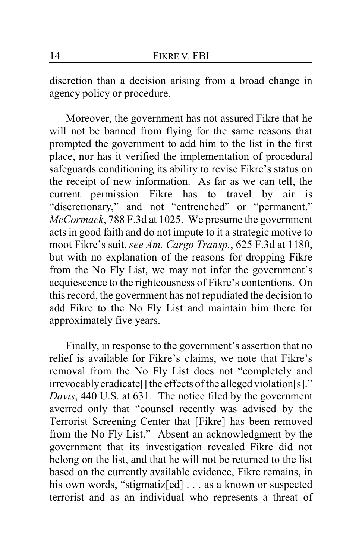discretion than a decision arising from a broad change in agency policy or procedure.

Moreover, the government has not assured Fikre that he will not be banned from flying for the same reasons that prompted the government to add him to the list in the first place, nor has it verified the implementation of procedural safeguards conditioning its ability to revise Fikre's status on the receipt of new information. As far as we can tell, the current permission Fikre has to travel by air is "discretionary," and not "entrenched" or "permanent." *McCormack*, 788 F.3d at 1025. We presume the government acts in good faith and do not impute to it a strategic motive to moot Fikre's suit, *see Am. Cargo Transp.*, 625 F.3d at 1180, but with no explanation of the reasons for dropping Fikre from the No Fly List, we may not infer the government's acquiescence to the righteousness of Fikre's contentions. On this record, the government has not repudiated the decision to add Fikre to the No Fly List and maintain him there for approximately five years.

Finally, in response to the government's assertion that no relief is available for Fikre's claims, we note that Fikre's removal from the No Fly List does not "completely and irrevocablyeradicate[] the effects of the alleged violation[s]." *Davis*, 440 U.S. at 631. The notice filed by the government averred only that "counsel recently was advised by the Terrorist Screening Center that [Fikre] has been removed from the No Fly List." Absent an acknowledgment by the government that its investigation revealed Fikre did not belong on the list, and that he will not be returned to the list based on the currently available evidence, Fikre remains, in his own words, "stigmatiz[ed] . . . as a known or suspected terrorist and as an individual who represents a threat of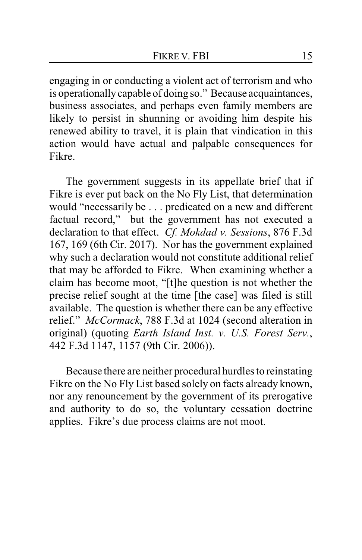engaging in or conducting a violent act of terrorism and who is operationallycapable of doing so." Because acquaintances, business associates, and perhaps even family members are likely to persist in shunning or avoiding him despite his renewed ability to travel, it is plain that vindication in this action would have actual and palpable consequences for Fikre.

The government suggests in its appellate brief that if Fikre is ever put back on the No Fly List, that determination would "necessarily be . . . predicated on a new and different factual record," but the government has not executed a declaration to that effect. *Cf. Mokdad v. Sessions*, 876 F.3d 167, 169 (6th Cir. 2017). Nor has the government explained why such a declaration would not constitute additional relief that may be afforded to Fikre. When examining whether a claim has become moot, "[t]he question is not whether the precise relief sought at the time [the case] was filed is still available. The question is whether there can be any effective relief." *McCormack*, 788 F.3d at 1024 (second alteration in original) (quoting *Earth Island Inst. v. U.S. Forest Serv.*, 442 F.3d 1147, 1157 (9th Cir. 2006)).

Because there are neither procedural hurdles to reinstating Fikre on the No Fly List based solely on facts already known, nor any renouncement by the government of its prerogative and authority to do so, the voluntary cessation doctrine applies. Fikre's due process claims are not moot.